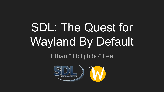# **SDL: The Quest for Wayland By Default**

Ethan "flibitijibibo" Lee

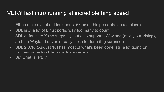# VERY fast intro running at incredible hihg speed

- Ethan makes a lot of Linux ports, 68 as of this presentation (so close)
- SDL is *in* a lot of Linux ports, way too many to count
- SDL defaults to X (no surprise), but also supports Wayland (mildly surprising), and the Wayland driver is really close to done (big surprise!)
- SDL 2.0.16 (August 10) has most of what's been done, still a lot going on!
	- Yes, we finally got client-side decorations in :)
- But what is left…?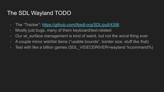# The SDL Wayland TODO

- The "Tracker": <https://github.com/libsdl-org/SDL/pull/4306>
- Mostly just bugs, many of them keyboard/text-related
- Our wl\_surface management is kind of weird, but not the *worst* thing ever
- A couple minor wishlist items ("usable bounds", border size, stuff like that)
- Test with like a billion games (SDL\_VIDEODRIVER=wayland %command%)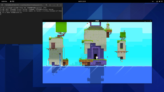[flibitijibibo@flibitAMD FEZ]\$ SDL\_VIDEODRIVER=wayland ./FEZ<br>[S\_API FAIL] SteamAPI Init() failed; SteamAPI IsSteamRunning() failed.<br>[S\_API FAIL] SteamAPI\_Init() failed; unable to locate a running instance of Stea<br>m, or a l

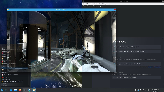$[{\hbox{flibitijibibo@flibitAMD\;~\texttt{\$}}$ }]$ 

 $\overline{\mathcal{P}}$ 



#### GENERAL

Enable the Steam Overlay while in-game

Use Desktop Game Theatre while SteamVR is active

**STEAM CLOUD** e Steam Cloud stores information so your product experience is consistent across

Keep games saves in the Steam Cloud for Portal 2

**LAUNCH OPTIONS** 

Advanced users may choose to enter modifications to their launch options.

SDL\_VIDEODRIVER=wayland %command%

**9 6 8 4 % 2 - 9:55 PM**  $\Box$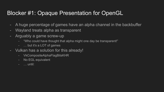# Blocker #1: Opaque Presentation for OpenGL

- A huge percentage of games have an alpha channel in the backbuffer
- Wayland treats alpha as transparent
- Arguably a game screw-up
	- "Who could have thought that alpha might one day be transparent!"
	- … but it's a LOT of games
- Vulkan has a solution for this already!
	- VkCompositeAlphaFlagBitsKHR
	- No EGL equivalent
	- … until: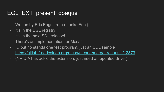# EGL\_EXT\_present\_opaque

- Written by Eric Engestrom (thanks Eric!)
- It's in the EGL registry!
- It's in the next SDL release!
- There's an implementation for Mesa!
- … but no standalone test program, just an SDL sample
- [https://gitlab.freedesktop.org/mesa/mesa/-/merge\\_requests/12373](https://gitlab.freedesktop.org/mesa/mesa/-/merge_requests/12373)
- (NVIDIA has ack'd the extension, just need an updated driver)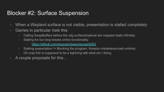# Blocker #2: Surface Suspension

- When a Wayland surface is not visible, presentation is stalled *completely*
- Games in particular *hate* this
	- Calling SwapBuffers before the xdg surface/toplevel are mapped stalls infinitely
	- Stalling for too long breaks online functionality
		- <https://github.com/swaywm/sway/issues/6263>
	- Stalling presentation != Blocking the program, threads misbehave/crash entirely
	- Oh crap this is supposed to be a lightning talk what am I doing
- A couple proposals for this...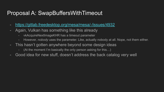# Proposal A: SwapBuffersWithTimeout

- <https://gitlab.freedesktop.org/mesa/mesa/-/issues/4932>
- Again, Vulkan has something like this already
	- vkAcquireNextImageKHR has a timeout parameter
	- However, *nobody* uses the parameter. Like, actually nobody at all. Nope, not them either.
- This hasn't gotten anywhere beyond some design ideas
	- (At the moment I'm basically the only person asking for this…)
- Good idea for new stuff, doesn't address the back catalog very well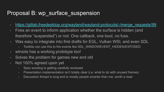# Proposal B: wp\_surface\_suspension

- [https://gitlab.freedesktop.org/wayland/wayland-protocols/-/merge\\_requests/99](https://gitlab.freedesktop.org/wayland/wayland-protocols/-/merge_requests/99)
- Fires an event to inform application whether the surface is hidden (and therefore "suspended") or not. One callback, one bool, no fuss.
- Was easy to integrate into first drafts for EGL, Vulkan WSI, and even SDL
	- Toolkits can use this to fire events like SDL\_WINDOWEVENT\_HIDDEN/EXPOSED
- wlroots has a working prototype too!
- Solves the problem for games new and old
- Not 100% agreed upon yet
	- Spec wording is getting carefully reviewed
	- Presentation implementation isn't totally clear (i.e. what to do with unused frames)
	- Discussion thread is *long* and is mostly people smarter than me, worth a read